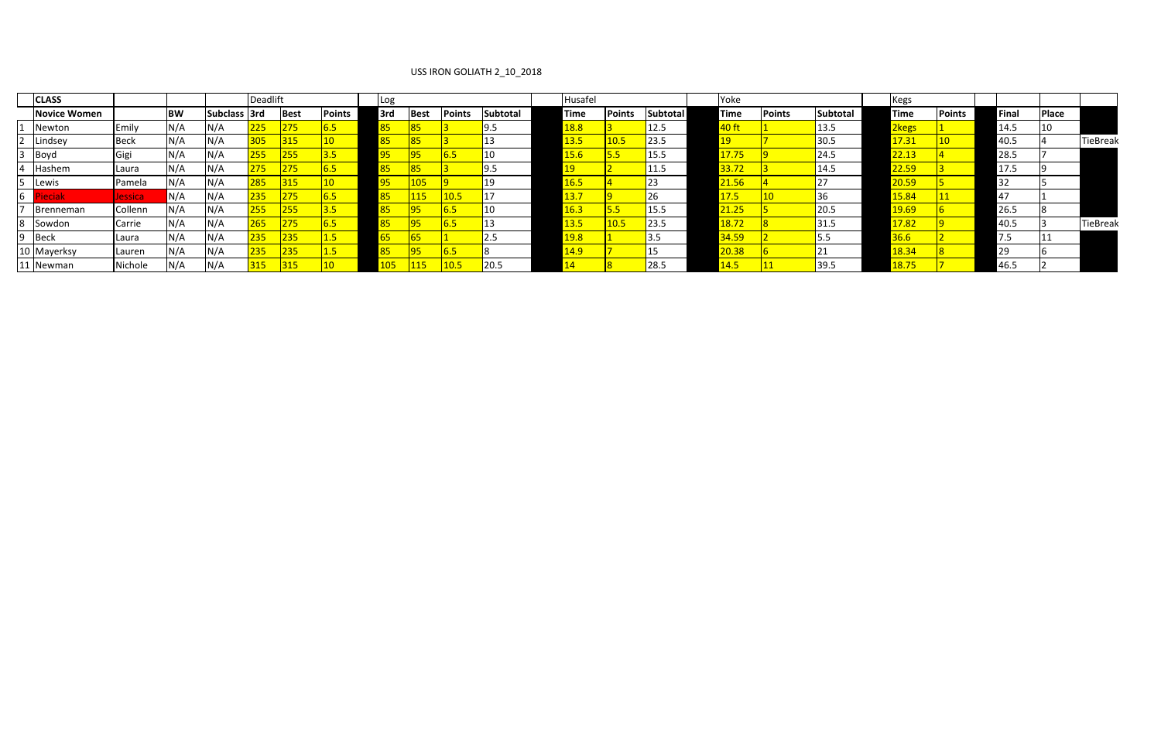## USS IRON GOLIATH 2\_10\_2018

|                | <b>CLASS</b>        |             |           |              | <b>Deadlift</b> |             |               | Log |             |               |                 | Husafel      |               |                 | Yoke         |               |                 | Kegs                               |               |       |       |                 |
|----------------|---------------------|-------------|-----------|--------------|-----------------|-------------|---------------|-----|-------------|---------------|-----------------|--------------|---------------|-----------------|--------------|---------------|-----------------|------------------------------------|---------------|-------|-------|-----------------|
|                | <b>Novice Women</b> |             | <b>BW</b> | Subclass 3rd |                 | <b>Best</b> | <b>Points</b> | 3rd | 3est        | <b>Points</b> | <b>Subtotal</b> | Time         | <b>Points</b> | <b>Subtotal</b> | <b>Time</b>  | <b>Points</b> | <b>Subtotal</b> | <b>Time</b>                        | <b>Points</b> | Final | Place |                 |
|                | Newton              | Emily       | N/A       | N/A          | 225             | 275         | 0.5           |     |             |               | 9.5             | 18.8         |               | 12.5            | 40 ft        |               | 13.5            | <mark>2kegs</mark>                 |               | 14.5  | 10    |                 |
|                | 2 Lindsey           | <b>Beck</b> | N/A       | N/A          | 305             | 315         |               |     |             |               |                 | 13.5         | 10.5          | $\sqrt{23.5}$   | <u> 19</u>   |               | 30.5            | 17.31                              |               | 40.5  |       | <b>TieBreak</b> |
|                | $3$ Boyd            | Gigi        | IN/A      | N/A          | 255             | 255         | 3.5           |     | 95          | 6.5           | 10              | 5.6          |               | 15.5            | 17.75        |               | 24.5            | 22.42                              |               | 28.5  |       |                 |
| $\overline{4}$ | Hashem              | Laura       | N/A       | N/A          | 275             | 275         | <u>b.5</u>    |     |             |               | 9.5             |              |               | 11.5            | 33.72        |               | 14.5            | 22.59                              |               | 17.5  |       |                 |
|                | Lewis               | Pamela      | N/A       | N/A          | 285             | 315         |               | 肟   | 105         |               | 19              | 6.5          |               | 23              | 21.56        |               |                 | <mark>20.59</mark>                 |               | 32    |       |                 |
| 6              |                     | Jessica     | N/A       | N/A          | 235             | 275         |               |     | <u> 115</u> | 10.5          |                 | <u> 13.7</u> |               |                 | <u> 17.5</u> |               |                 | <b>15.84</b>                       |               |       |       |                 |
|                | Brenneman           | Collenn     | N/A       | N/A          | 255             | 255         | 3.J           |     |             |               | 10              | 6.3          |               | 15.5            | 21.25        |               | 20.5            | <u> 19.69</u>                      |               | 26.5  |       |                 |
|                | Sowdon              | Carrie      | N/A       | N/A          | 265             | 275         |               |     | 95          |               | 13              | 13.5         | 10.5          | 23.5            | 18.72        |               | 31.5            | <mark>17.82</mark>                 |               | 40.5  |       | <b>TieBreak</b> |
|                | Beck                | Laura       | N/A       | N/A          | 235             | <b>235</b>  |               |     |             |               | 2.5             | 19.8         |               | 3.5             | 34.59        |               |                 | 36.6                               |               | כ. ו  |       |                 |
|                | Mayerksy            | Lauren      | N/A       | N/A          | 235             | 235         | -1.0          |     | 95          | 6.5           |                 | <u> 4.9</u>  |               |                 | 20.38        |               |                 | 18.34                              |               | 29    |       |                 |
|                | 11 Newman           | Nichole     | N/A       | N/A          | 315             | 315         |               |     |             | 10.5          | 20.5            |              |               | 28.5            | <u> 14.5</u> |               | 39.5            | <mark>סד סו</mark><br><u>LO./.</u> |               | 46.5  |       |                 |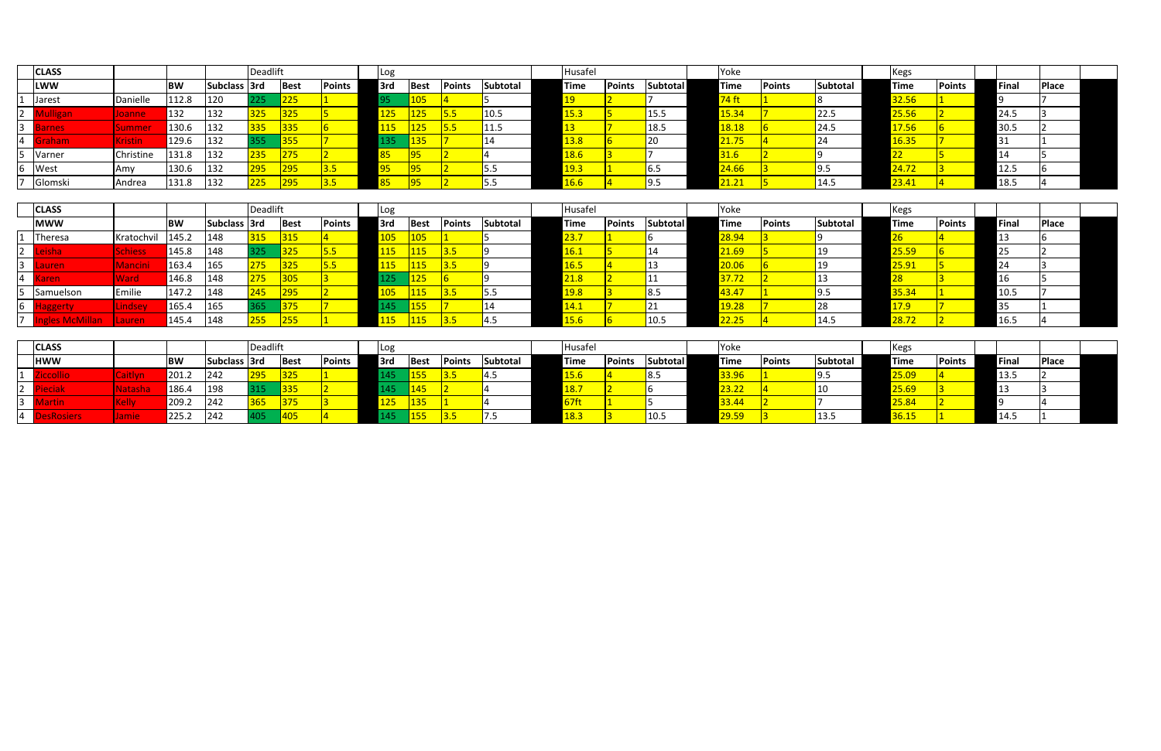|                 | <b>CLASS</b>   |                     |           |               | <b>Deadlift</b> |             |               | <sub>I</sub> Log |             |               |                 | Husafel      |               |                 | Yoke          |               |                 | <b>IKegs</b> |               |    |              |              |
|-----------------|----------------|---------------------|-----------|---------------|-----------------|-------------|---------------|------------------|-------------|---------------|-----------------|--------------|---------------|-----------------|---------------|---------------|-----------------|--------------|---------------|----|--------------|--------------|
|                 | <b>LWW</b>     |                     | <b>BW</b> | Subclass 3rd  |                 | <b>Best</b> | <b>Points</b> | 3rd              | <b>Best</b> | <b>Points</b> | <b>Subtotal</b> | <b>Time</b>  | <b>Points</b> | <b>Subtotal</b> | <b>Time</b>   | <b>Points</b> | <b>Subtotal</b> | <b>Time</b>  | <b>Points</b> |    | <b>Final</b> | <b>Place</b> |
|                 | Jarest         | Danielle            | 112.8     | $ 120\rangle$ | 225             | 225         |               |                  | 105         |               |                 |              |               |                 | 74 ft         |               |                 | 32.56        |               |    |              |              |
| $2^{\circ}$     | <b>Auligan</b> | Joanne              | 132       | 1132          | 325             | 325         |               |                  | 125/        | 5.5           | 10.5            | 15.3         |               | 15.5            | 15.34         |               | 22.5            | 25.56        |               |    | 24.5         |              |
| $\vert 3 \vert$ | arnes          | ummor<br>JUIIIIIIEI | 130.6     | 1132          | 335             | 335         |               | <u> 15</u>       | 125         | 5.5           | 11.5            |              |               | 18.5            | <u> 18.18</u> |               | 24.5            | 17.56        |               |    | 30.5         |              |
| $\sqrt{4}$      | <u> Graham</u> | Kristin             | 129.6     | 1132          | 355             | 355         |               | L35.             | 135         |               |                 | 13.8         |               | 20              | 21.75         |               |                 | 16.35        |               | 31 |              |              |
|                 | Varner         | Christine           | 131.8     | 132           | 235             | 275         |               |                  | 95          |               |                 | 18.6         |               |                 | 31.6          |               |                 | LL           |               |    |              |              |
|                 | West           | <b>Amy</b>          | 130.6     | 132           | 295             | 295         | $\sqrt{3.5}$  |                  | 95          |               | 5.5             | <u> 19.3</u> |               | $\sqrt{6.5}$    | 24.66         |               |                 | 24.72        |               |    | 12.5         |              |
|                 | Glomski        | Andrea              | 131.8     | 132           | 225             |             |               |                  | qҕ          |               |                 | 16.6         |               |                 | 21.21         |               | 14.5            | 23.41        |               |    | 18.5         |              |

|                 | <b>CLASS</b>           |                |           |              | Deadlift |              |               | Log         |             |               |                 | Husafel      |        |                 | Yoke         |               |          | <b>Kegs</b> |               |       |              |  |
|-----------------|------------------------|----------------|-----------|--------------|----------|--------------|---------------|-------------|-------------|---------------|-----------------|--------------|--------|-----------------|--------------|---------------|----------|-------------|---------------|-------|--------------|--|
|                 | <b>MWW</b>             |                | <b>BW</b> | Subclass 3rd |          | <b>Best</b>  | <b>Points</b> | 3rd         | <b>Best</b> | <b>Points</b> | <b>Subtotal</b> | Time         | Points | <b>Subtotal</b> | <b>Time</b>  | <b>Points</b> | Subtotal | Time        | <b>Points</b> | Final | <b>Place</b> |  |
|                 | Theresa                | Kratochvil     | 145.2     | 148          | 315      | 315          |               |             | 105         |               |                 | <u>'3.7</u>  |        |                 | 28.94        |               |          |             |               |       |              |  |
| $\vert 2 \vert$ |                        | <b>Schiess</b> | 145.8     | 1148         | 325      | 325          |               | <u> 115</u> | <b>115</b>  | 3.5           |                 | <u>lb. I</u> |        |                 | <u>21.69</u> |               |          | 25.59       |               |       |              |  |
| 3               |                        | <b>Mancini</b> | 163.4     | 165          | 275      | 325          | כ.כ           | 115         | 115         | 3.5           |                 | 16.5         |        |                 | 20.06        |               |          | 25.91       |               | 74    |              |  |
| $\vert 4 \vert$ |                        | <b>Ward</b>    | 146.8     | 148          | 275      | $\sqrt{305}$ |               |             | 125         |               |                 | 21.8         |        |                 | 37.72        |               |          |             |               |       |              |  |
|                 | Samuelson              | Emilie         | 147.2     | 148          | 245      | 295          |               |             | 115         | 3.5           | 5.5             | 19.8         |        | $\sqrt{8.5}$    | 43.47        |               |          | 35.34       |               | 10.5  |              |  |
| 6               | <b>Vaggerty</b>        | Lindsey/       | 165.4     | 165          | 365      | 375          |               |             | 155         |               |                 | 14.1         |        |                 | 19.28        |               |          | <u>17.9</u> |               |       |              |  |
| 7 <sup>1</sup>  | <b>Ingles McMillan</b> | Lauren         | 145.4     | <b>148</b>   | 255      | 255          |               | <b>15</b>   | 115         | 13.5          | 4.5             | 15.6         |        | 10.5            | 22.25        |               | 14.5     | 28.72       |               | 16.5  |              |  |

|                | <b>CLASS</b>    |        |           |              | Deadlift |      |               | LO٤              |            |               |          | <b>Husafe</b> |               |          | Yoke               |               |          | <b>Kegs</b> |               |      |              |  |
|----------------|-----------------|--------|-----------|--------------|----------|------|---------------|------------------|------------|---------------|----------|---------------|---------------|----------|--------------------|---------------|----------|-------------|---------------|------|--------------|--|
|                | <b>HWW</b>      |        | <b>BW</b> | Subclass 3rd |          | Best | <b>Points</b> | <b>Srd</b>       | Best       | <b>Points</b> | Subtotal | Time          | <b>Points</b> | Subtotal | <b>Time</b>        | <b>Points</b> | Subtotal | <b>Time</b> | <b>Points</b> | Fina | <b>Place</b> |  |
|                | <b>Accollio</b> | la zan | 201.2     | 1242         | 295      | 325  |               |                  | <b>155</b> | 3.5           | 4.5      | 15.6          |               | ပ.၁      | 33.96              |               | 19.5     | 25.09       |               | 13.5 |              |  |
| $\mathsf{Z}$   | Pieciak         | c la c | 186.4     | 198          | 315      | 335  |               |                  | 145        |               |          | <u>18.7</u>   |               |          | <mark>23.22</mark> |               |          | 25.69       |               |      |              |  |
|                |                 |        | 209.2     | 242          | 365      | 375  |               | 125 <sub>1</sub> | 135        |               |          | 57ft          |               |          | 33.44              |               |          | 25.84       |               |      |              |  |
| 4 <sub>1</sub> |                 |        | 225.2     | 242          | 105      | 1405 |               |                  | 155        |               |          | <u>18.3</u>   |               | 10.5     | <mark>29.59</mark> |               | 13.5     | 36.15       |               | 14.5 |              |  |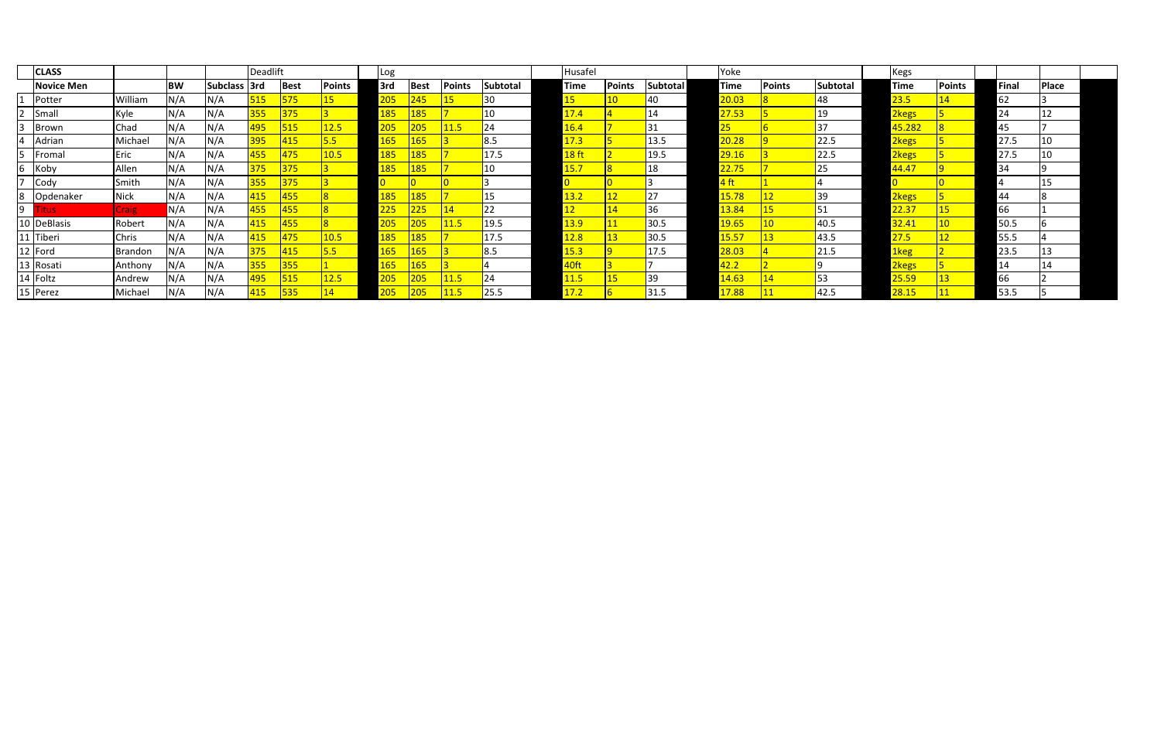|   | <b>CLASS</b>      |             |           |              | Deadlift |              |               | Log         |                  |        |                 | Husafel          |               |          | Yoke               |        |                 | Kegs        |                 |              |       |  |
|---|-------------------|-------------|-----------|--------------|----------|--------------|---------------|-------------|------------------|--------|-----------------|------------------|---------------|----------|--------------------|--------|-----------------|-------------|-----------------|--------------|-------|--|
|   | <b>Novice Men</b> |             | <b>BW</b> | Subclass 3rd |          | Best         | <b>Points</b> | 3rd         | <b>Best</b>      | Points | <b>Subtotal</b> | Time             | <b>Points</b> | Subtotal | <b>Time</b>        | Points | <b>Subtotal</b> | <b>Time</b> | <b>Points</b>   | <b>Final</b> | Place |  |
|   | Potter            | William     | N/A       | N/A          | 515      | 575          |               | 205         | 245              | 15     | 30              | $15\,$           |               | 40       | 20.03              |        |                 | 23.5        | 14              | 62           |       |  |
|   | Smal              | Kyle        | N/A       | N/A          | 355      | $\sqrt{375}$ |               | <u> 185</u> | 185              |        | 10              | 17.4             |               | 14       | 27.53              |        | 19              | 2kegs       |                 | 24           | 12    |  |
|   | Brown             | Chad        | N/A       | N/A          | 1495     | 515          | 12.5          | 205         | 205              | 11.5   | 24              | 16.4             |               | 31       | 25 <sub>1</sub>    |        |                 | 45.282      |                 | 45           |       |  |
|   | Adrian            | Michael     | N/A       | N/A          | 395      | 415          | 5.5           | <b>165</b>  | 165              |        | 8.5             | 17.3             |               | 13.5     | <mark>20.28</mark> |        | 22.5            | 2kegs       |                 | 27.5         | 10    |  |
|   | Fromal            | Eric        | N/A       | N/A          | 455      | 475          | 10.5          | 185         | 185              |        | 17.5            | 18 <sub>ft</sub> |               | 19.5     | <mark>29.16</mark> |        | 22.5            | 2kegs       |                 | 27.5         | 10    |  |
| ь | Koby              | Allen       | N/A       | N/A          | 375      | 375          |               | <u> 185</u> | 185              |        | 10              | 15.7             |               | 18       | 22.75              |        |                 | 44.47       |                 | 34           |       |  |
|   | Cody              | Smith       | N/A       | N/A          | 355      | 375          |               |             |                  |        |                 |                  |               |          | 4 ft               |        |                 |             |                 |              | 15    |  |
| 8 | Opdenaker         | <b>Nick</b> | N/A       | N/A          | 415      | 1455         |               | 185         | <mark>185</mark> |        | 15              | <u> 13.2</u>     | 12            | 27       | 15.78              | 12     |                 | 2kegs       |                 | 44           |       |  |
| 9 | 'itus             | Craig       | N/A       | N/A          | 455      | <b>455</b>   |               | 225         | 225              | 14     | 22              |                  | 14            | 36       | 13.84              | 15     | 1כ              | 22.37       | 15              | 66           |       |  |
|   | 10 DeBlasis       | Robert      | N/A       | N/A          | 415      | <b>455</b>   |               | 205         | 205              | 11.5   | 19.5            | <u> 13.9 </u>    | <b>11</b>     | 30.5     | <b>19.65</b>       |        | 40.5            | 32.41       | 10 <sup>°</sup> | 50.5         |       |  |
|   | 11 Tiberi         | Chris       | N/A       | N/A          | 415      | 475          | 10.5          | 185         | 185              |        | 17.5            | 12.8             | 13            | 30.5     | 15.57              | 13     | 43.5            | 27.5        | 12              | 55.5         |       |  |
|   | 12 Ford           | Brandon     | N/A       | N/A          | 375      | 415          | 5.5           | 165         | 165              |        | 8.5             | 15.3             |               | 17.5     | <mark>28.03</mark> |        | 21.5            | 1keg        |                 | 23.5         | 13    |  |
|   | 13 Rosati         | Anthony     | N/A       | N/A          | 355      | 355          |               | 165         | 165              |        |                 | 40ft             |               |          | 42.2               |        |                 | 2kegs       |                 | 14           | 14    |  |
|   | 14 Foltz          | Andrew      | N/A       | N/A          | 495      | 515          | 12.5          | 205         | 205              | 11.5   | 24              | 11.5             |               | 39ء      | 14.63              | 14     | 53              | 25.59       | 13              | 66           |       |  |
|   | 15 Perez          | Michael     | N/A       | N/A          | 415      | 535          | 14            | 205         | 205              | 11.5   | 25.5            | 17.2             |               | 31.5     | 17.88              |        | 42.5            | 28.15       |                 | 53.5         |       |  |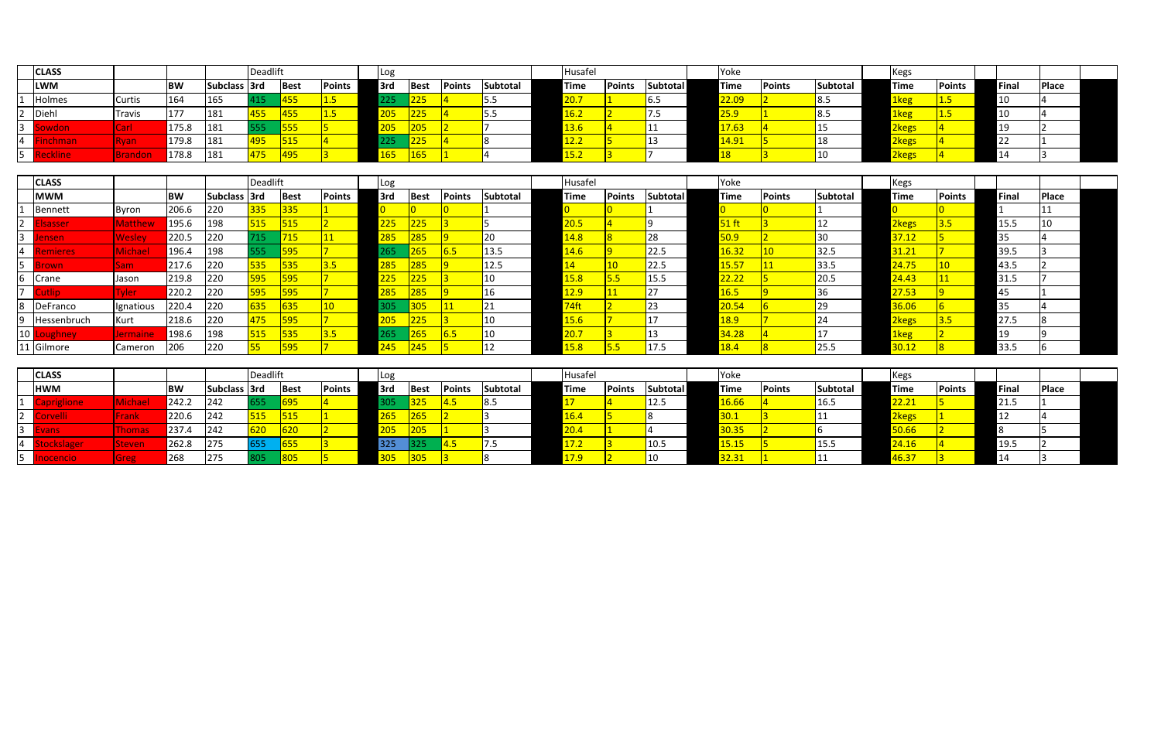|   | <b>CLASS</b>     |         |           |                     | Deadlift |               |               | LOg |             |               |                 | Husafel               |        |                 | <b>TYoke</b>       |               |                 | Keg.        |               |       |              |  |
|---|------------------|---------|-----------|---------------------|----------|---------------|---------------|-----|-------------|---------------|-----------------|-----------------------|--------|-----------------|--------------------|---------------|-----------------|-------------|---------------|-------|--------------|--|
|   | <b>LWM</b>       |         | <b>BW</b> | <b>Subclass 3rd</b> |          | <b>I</b> Best | <b>Points</b> | 3rd | <b>Best</b> | <b>Points</b> | <b>Subtotal</b> | <b>Time</b>           | Points | <b>Subtotal</b> | <b>Time</b>        | <b>Points</b> | <b>Subtotal</b> | <b>Time</b> | <b>Points</b> | Fina. | <b>Place</b> |  |
|   | <b>Holmes</b>    | Curtis  | 164       | 165                 | 115      | <b>1455</b>   | 1.5           |     | 225         |               | כ.כ             | ד הר<br><u>.v. / </u> |        | כ.סי            | <mark>22.09</mark> |               | 8.5             | 1keg        |               |       |              |  |
|   | Diehl            | Travis  | 177       | 181                 | 455      | <b>455</b>    | 1.5           | 205 | 225         |               | ر.ر             | <u> 16.2 </u>         |        | J .J            | <u> 25.9</u>       |               | $\mathbf{R}$ .  | 1keg        |               |       |              |  |
|   | iowdon           | Carl    | 175.8     | 181                 | 555      | 555           |               | 205 | 205         |               |                 | 13.6                  |        |                 | 17.63              |               |                 | 2kegs       |               |       |              |  |
| 4 | <b>Finchman</b>  | kvan    | 179.8     | 181                 | 495      | 515           |               |     | 225         |               |                 | ຳາ<br>12.Z            |        |                 | 14.91              |               |                 | 2kegs       |               |       |              |  |
|   | <i>k</i> eckline | Irandon | 178.8     | 181                 | 475      | 495           |               | L65 | 165         |               |                 | <u> 15.2</u>          |        |                 |                    |               |                 | 2kegs       |               |       |              |  |

|                | <b>CLASS</b> |                |           |              | Deadlift |               |                 | Log         |                  |               |                 | Husafel           |               |                 | Yoke |                    |               |          | <b>Kegs</b> |               |       |       |  |
|----------------|--------------|----------------|-----------|--------------|----------|---------------|-----------------|-------------|------------------|---------------|-----------------|-------------------|---------------|-----------------|------|--------------------|---------------|----------|-------------|---------------|-------|-------|--|
|                | <b>MWM</b>   |                | <b>BW</b> | Subclass 3rd |          | <b>Best</b>   | <b>Points</b>   | 3rd         | Best             | <b>Points</b> | <b>Subtotal</b> | <b>Time</b>       | <b>Points</b> | <b>Subtotal</b> |      | <b>Time</b>        | <b>Points</b> | Subtotal | <b>Time</b> | <b>Points</b> | Final | Place |  |
|                | Bennett      | Byron          | 206.6     | 220          | 335      | $\sqrt{335/}$ |                 |             |                  |               |                 |                   |               |                 |      |                    |               |          |             |               |       |       |  |
| $\overline{2}$ | sasser       | <b>Matthew</b> | 195.6     | 198          | 515      | 515           |                 | 225         | <u> 225</u>      |               |                 | <mark>20.5</mark> |               |                 |      | $51$ ft            |               |          | 2kegs       |               | 15.5  |       |  |
| 3              | ensen        | Wesley         | 220.5     | 1220         |          | 715           |                 | <u> 285</u> | 285              |               | 20              | 14.8              |               | 28              |      | <mark>50.9</mark>  |               |          | 37.12       |               | 35    |       |  |
| $\overline{4}$ | emieres      | Michael        | 196.4     | 198          |          | 595           |                 | 265         | 265              | 6.5           | 13.5            | 14.6              |               | 22.5            |      | 16.32              |               | 32.5     | 31.21       |               | 39.5  |       |  |
| 5 <sup>1</sup> | <b>trown</b> | Sam i          | 217.6     | 220          | 535      | 535           | 3.5             | 285         | 285              |               | 12.5            |                   |               | 22.5            |      | <mark>15.57</mark> |               | 33.5     | 24.75       |               | 43.5  |       |  |
| 6              | Crane        | Jason          | 219.8     | 220          | 595      | 595           |                 | 225         | 225              |               | 10              | 15.8              | כ.כ           | 15.5            |      | 22.22              |               | 20.5     | 24.43       |               | 31.5  |       |  |
| 7 <sup>7</sup> | utlio        | <b>Tyler</b>   | 220.2     | 220          | 595      | 595           |                 | 285         | $\overline{285}$ |               | 16              | 12.9              |               |                 |      | 16.5               |               |          | 27.53       |               | 45    |       |  |
| 8              | DeFranco     | Ignatious      | 220.4     | 220          | 635      | 635           | 10 <sup>1</sup> | 305         | 305              |               |                 | 74ft              |               | 23              |      | 20.54              |               |          | 36.06       |               | 55    |       |  |
|                | Hessenbruch  | Kurt           | 218.6     | 220          | 475      | 595           |                 | 205         | 225              |               | 10              | 15.6              |               | 17              |      | <b>18.9</b>        |               |          | 2kegs       | 3.5           | 27.5  |       |  |
| 10             |              | Jermaine       | 198.6     | 198          | 515      | 535           | 3.5             | 265         | 265              | 6.5           | 10              | 20.7              |               | 13              |      | 34.28              |               |          | 1keg        |               | 19    |       |  |
|                | 11 Gilmore   | Cameron        | 206       | 220          |          | 595           |                 | <u> 45</u>  | 245              |               |                 | 15.8              |               | 17.5            |      | 18.4               |               |          | 30.12       |               | 33.5  |       |  |

| <b>CLASS</b>          |               |        |              | <b>Deadlift</b> |      |               | LUR  |              |             |          | <b>Husafel</b> |               |                 | <b>P</b> oke      |               |          | Kegs        |               |      |       |  |
|-----------------------|---------------|--------|--------------|-----------------|------|---------------|------|--------------|-------------|----------|----------------|---------------|-----------------|-------------------|---------------|----------|-------------|---------------|------|-------|--|
| <b>HWM</b>            |               | BW     | Subclass 3rd |                 | Best | <b>Points</b> | 13rd | <b>IBest</b> | Points      | Subtotal | <b>Time</b>    | <b>Points</b> | <b>Subtotal</b> | <b>Time</b>       | <b>Points</b> | Subtotal | <b>Time</b> | <b>Points</b> | Fina | Place |  |
| apriglione            |               | 1242.2 | 242          | 655             | 695  |               | 805  | 325          | $\P$ 4.5    | 18.5     |                |               | 12.5            | 16.66             |               | 16.5     | 22.21       |               | 21.5 |       |  |
| <mark>`orvelli</mark> | ·rank         | 220.6  | 242          | 515             | 515  |               | 265  | 265          |             |          | 16.4           |               |                 | <mark>30.1</mark> |               |          | 2kegs       |               |      |       |  |
| ivans                 | <b>Thomas</b> | 237.4  | 242          | 620             | 620  |               | 205  | 205          |             |          | 20.4           |               |                 | 30.35             |               |          | 50.66       |               |      |       |  |
| Accor                 | steven        | 262.8  | 275          | 655             | 655  |               | 325  | 325          | <b>14.5</b> | כ. ז     | 17.2           |               | 10.5            | <b>15.15</b>      |               | I 15.5   | 24.16       |               | 19.5 |       |  |
|                       | Ereg          | 268    | 275          | 805             | 805  |               | 305  | 305          |             |          | <u> 17.9</u>   |               |                 | 32.31             |               |          | 46.37       |               |      |       |  |